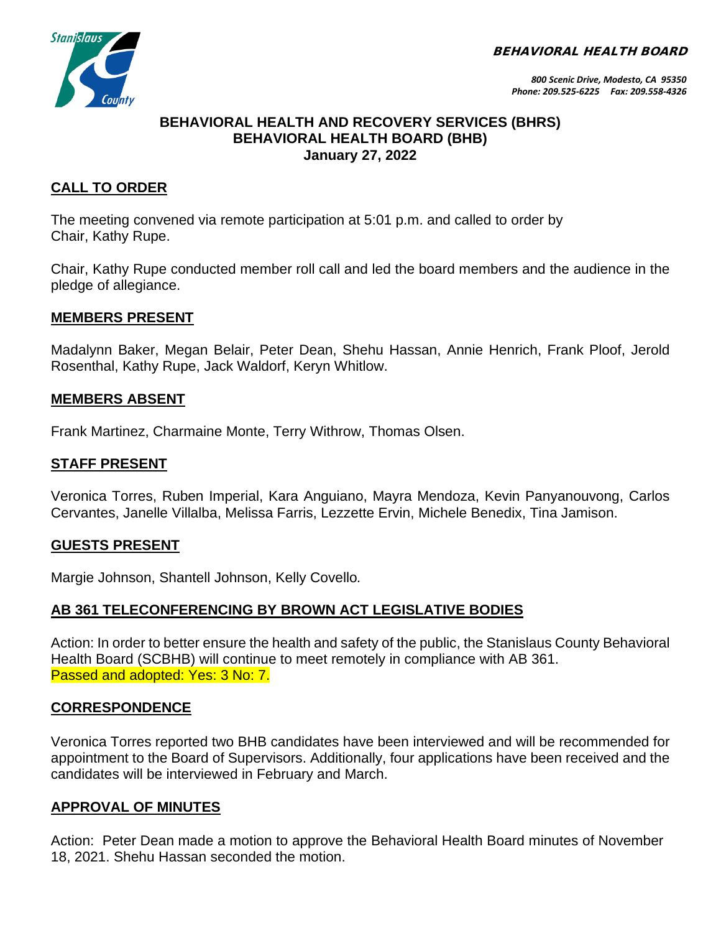BEHAVIORAL HEALTH BOARD



### **BEHAVIORAL HEALTH AND RECOVERY SERVICES (BHRS) BEHAVIORAL HEALTH BOARD (BHB) January 27, 2022**

# **CALL TO ORDER**

The meeting convened via remote participation at 5:01 p.m. and called to order by Chair, Kathy Rupe.

Chair, Kathy Rupe conducted member roll call and led the board members and the audience in the pledge of allegiance.

### **MEMBERS PRESENT**

Madalynn Baker, Megan Belair, Peter Dean, Shehu Hassan, Annie Henrich, Frank Ploof, Jerold Rosenthal, Kathy Rupe, Jack Waldorf, Keryn Whitlow.

#### **MEMBERS ABSENT**

Frank Martinez, Charmaine Monte, Terry Withrow, Thomas Olsen.

### **STAFF PRESENT**

Veronica Torres, Ruben Imperial, Kara Anguiano, Mayra Mendoza, Kevin Panyanouvong, Carlos Cervantes, Janelle Villalba, Melissa Farris, Lezzette Ervin, Michele Benedix, Tina Jamison.

#### **GUESTS PRESENT**

Margie Johnson, Shantell Johnson, Kelly Covello*.*

### **AB 361 TELECONFERENCING BY BROWN ACT LEGISLATIVE BODIES**

Action: In order to better ensure the health and safety of the public, the Stanislaus County Behavioral Health Board (SCBHB) will continue to meet remotely in compliance with AB 361. Passed and adopted: Yes: 3 No: 7.

### **CORRESPONDENCE**

Veronica Torres reported two BHB candidates have been interviewed and will be recommended for appointment to the Board of Supervisors. Additionally, four applications have been received and the candidates will be interviewed in February and March.

### **APPROVAL OF MINUTES**

Action: Peter Dean made a motion to approve the Behavioral Health Board minutes of November 18, 2021. Shehu Hassan seconded the motion.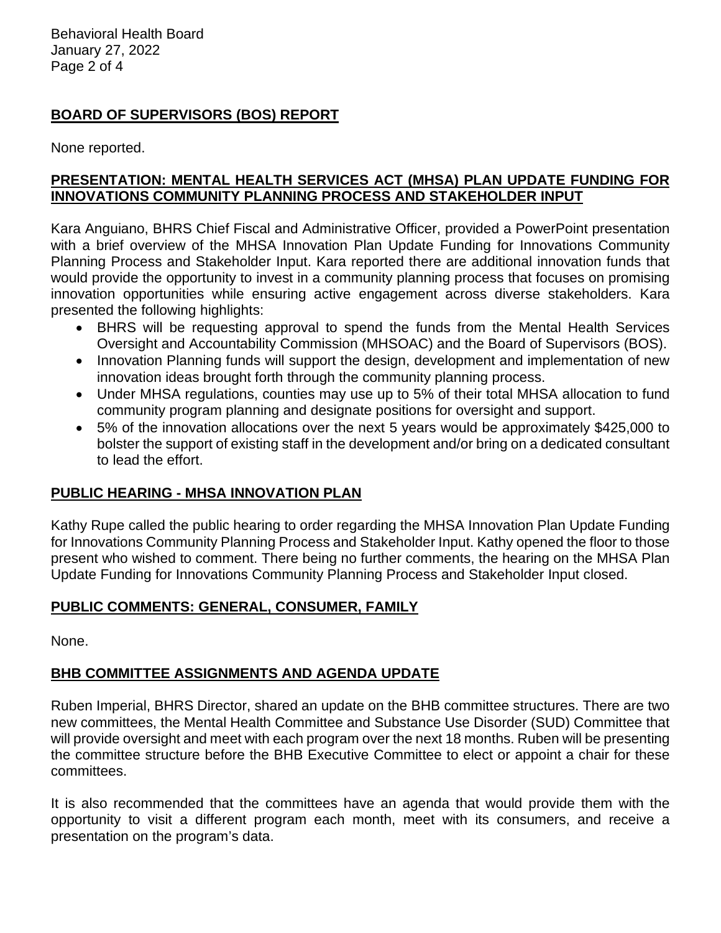Behavioral Health Board January 27, 2022 Page 2 of 4

# **BOARD OF SUPERVISORS (BOS) REPORT**

None reported.

# **PRESENTATION: MENTAL HEALTH SERVICES ACT (MHSA) PLAN UPDATE FUNDING FOR INNOVATIONS COMMUNITY PLANNING PROCESS AND STAKEHOLDER INPUT**

Kara Anguiano, BHRS Chief Fiscal and Administrative Officer, provided a PowerPoint presentation with a brief overview of the MHSA Innovation Plan Update Funding for Innovations Community Planning Process and Stakeholder Input. Kara reported there are additional innovation funds that would provide the opportunity to invest in a community planning process that focuses on promising innovation opportunities while ensuring active engagement across diverse stakeholders. Kara presented the following highlights:

- BHRS will be requesting approval to spend the funds from the Mental Health Services Oversight and Accountability Commission (MHSOAC) and the Board of Supervisors (BOS).
- Innovation Planning funds will support the design, development and implementation of new innovation ideas brought forth through the community planning process.
- Under MHSA regulations, counties may use up to 5% of their total MHSA allocation to fund community program planning and designate positions for oversight and support.
- 5% of the innovation allocations over the next 5 years would be approximately \$425,000 to bolster the support of existing staff in the development and/or bring on a dedicated consultant to lead the effort.

# **PUBLIC HEARING - MHSA INNOVATION PLAN**

Kathy Rupe called the public hearing to order regarding the MHSA Innovation Plan Update Funding for Innovations Community Planning Process and Stakeholder Input. Kathy opened the floor to those present who wished to comment. There being no further comments, the hearing on the MHSA Plan Update Funding for Innovations Community Planning Process and Stakeholder Input closed.

# **PUBLIC COMMENTS: GENERAL, CONSUMER, FAMILY**

None.

# **BHB COMMITTEE ASSIGNMENTS AND AGENDA UPDATE**

Ruben Imperial, BHRS Director, shared an update on the BHB committee structures. There are two new committees, the Mental Health Committee and Substance Use Disorder (SUD) Committee that will provide oversight and meet with each program over the next 18 months. Ruben will be presenting the committee structure before the BHB Executive Committee to elect or appoint a chair for these committees.

It is also recommended that the committees have an agenda that would provide them with the opportunity to visit a different program each month, meet with its consumers, and receive a presentation on the program's data.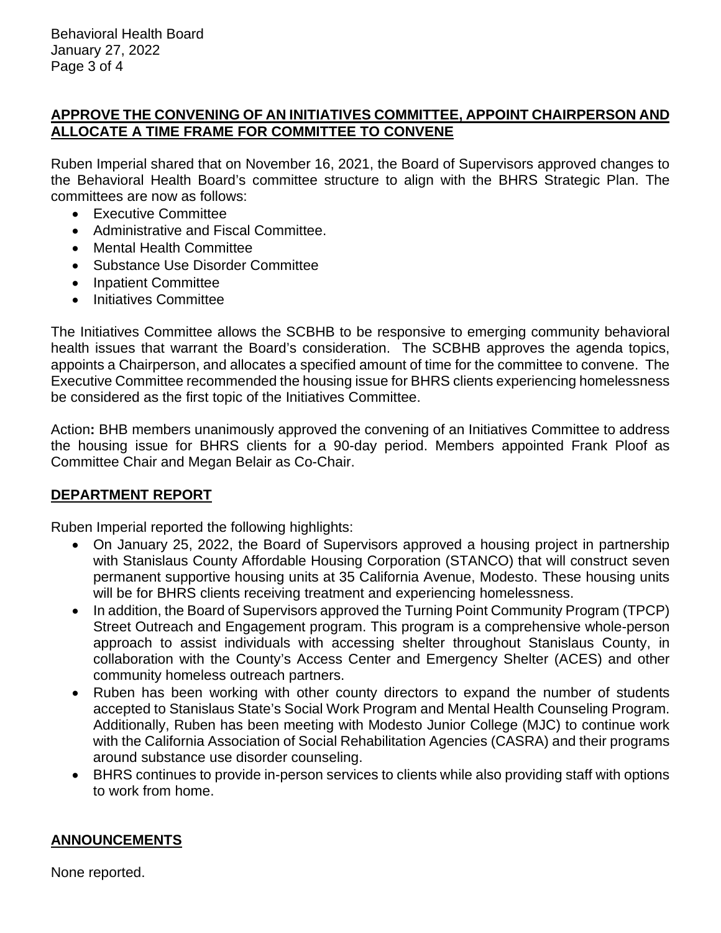### **APPROVE THE CONVENING OF AN INITIATIVES COMMITTEE, APPOINT CHAIRPERSON AND ALLOCATE A TIME FRAME FOR COMMITTEE TO CONVENE**

Ruben Imperial shared that on November 16, 2021, the Board of Supervisors approved changes to the Behavioral Health Board's committee structure to align with the BHRS Strategic Plan. The committees are now as follows:

- Executive Committee
- Administrative and Fiscal Committee.
- Mental Health Committee
- Substance Use Disorder Committee
- Inpatient Committee
- Initiatives Committee

The Initiatives Committee allows the SCBHB to be responsive to emerging community behavioral health issues that warrant the Board's consideration. The SCBHB approves the agenda topics, appoints a Chairperson, and allocates a specified amount of time for the committee to convene. The Executive Committee recommended the housing issue for BHRS clients experiencing homelessness be considered as the first topic of the Initiatives Committee.

Action**:** BHB members unanimously approved the convening of an Initiatives Committee to address the housing issue for BHRS clients for a 90-day period. Members appointed Frank Ploof as Committee Chair and Megan Belair as Co-Chair.

# **DEPARTMENT REPORT**

Ruben Imperial reported the following highlights:

- On January 25, 2022, the Board of Supervisors approved a housing project in partnership with Stanislaus County Affordable Housing Corporation (STANCO) that will construct seven permanent supportive housing units at 35 California Avenue, Modesto. These housing units will be for BHRS clients receiving treatment and experiencing homelessness.
- In addition, the Board of Supervisors approved the Turning Point Community Program (TPCP) Street Outreach and Engagement program. This program is a comprehensive whole-person approach to assist individuals with accessing shelter throughout Stanislaus County, in collaboration with the County's Access Center and Emergency Shelter (ACES) and other community homeless outreach partners.
- Ruben has been working with other county directors to expand the number of students accepted to Stanislaus State's Social Work Program and Mental Health Counseling Program. Additionally, Ruben has been meeting with Modesto Junior College (MJC) to continue work with the California Association of Social Rehabilitation Agencies (CASRA) and their programs around substance use disorder counseling.
- BHRS continues to provide in-person services to clients while also providing staff with options to work from home.

# **ANNOUNCEMENTS**

None reported.